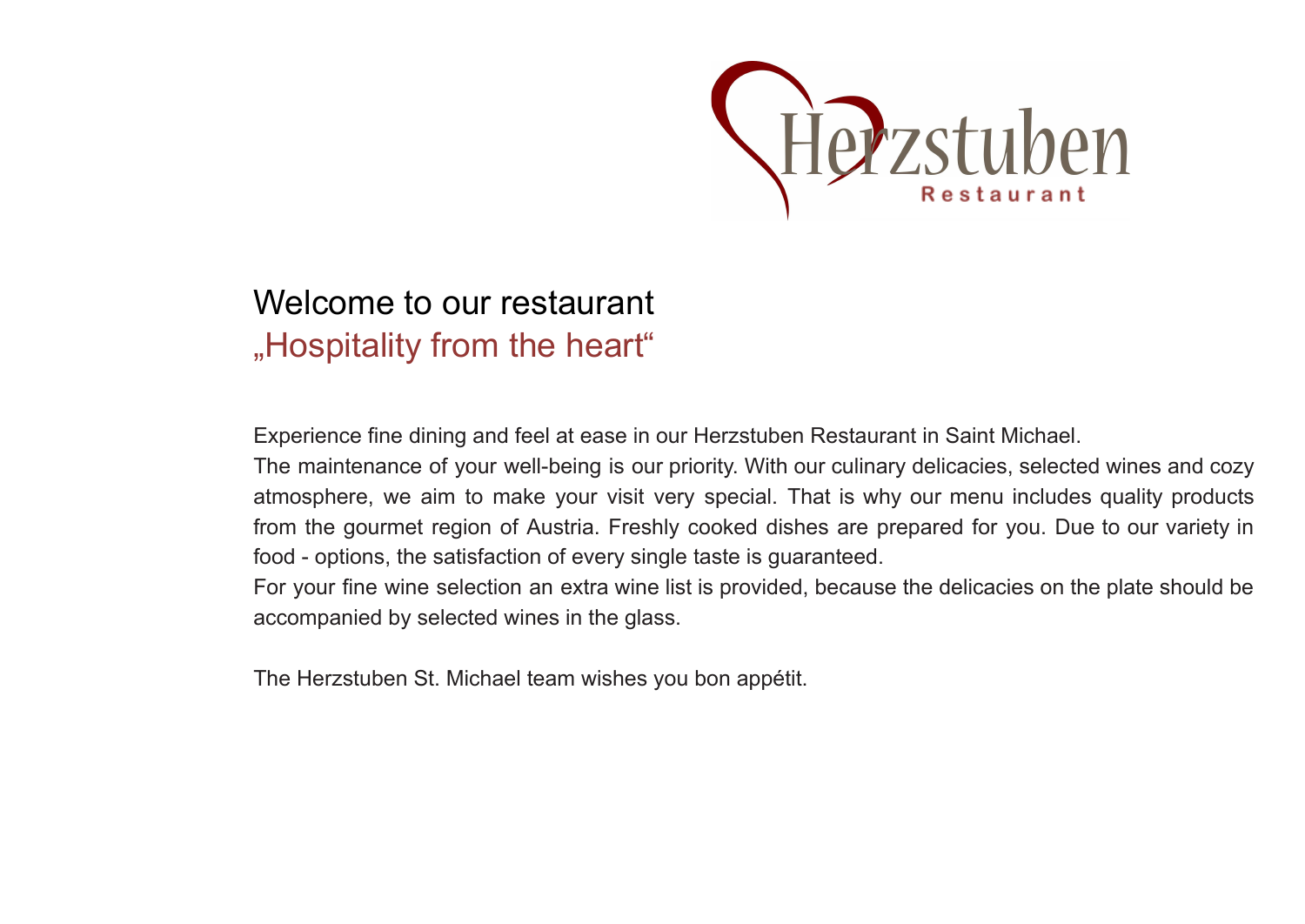

# Welcome to our restaurant "Hospitality from the heart"

Experience fine dining and feel at ease in our Herzstuben Restaurant in Saint Michael.

The maintenance of your well-being is our priority. With our culinary delicacies, selected wines and cozy atmosphere, we aim to make your visit very special. That is why our menu includes quality products from the gourmet region of Austria. Freshly cooked dishes are prepared for you. Due to our variety in food - options, the satisfaction of every single taste is guaranteed.

For your fine wine selection an extra wine list is provided, because the delicacies on the plate should be accompanied by selected wines in the glass.

The Herzstuben St. Michael team wishes you bon appétit.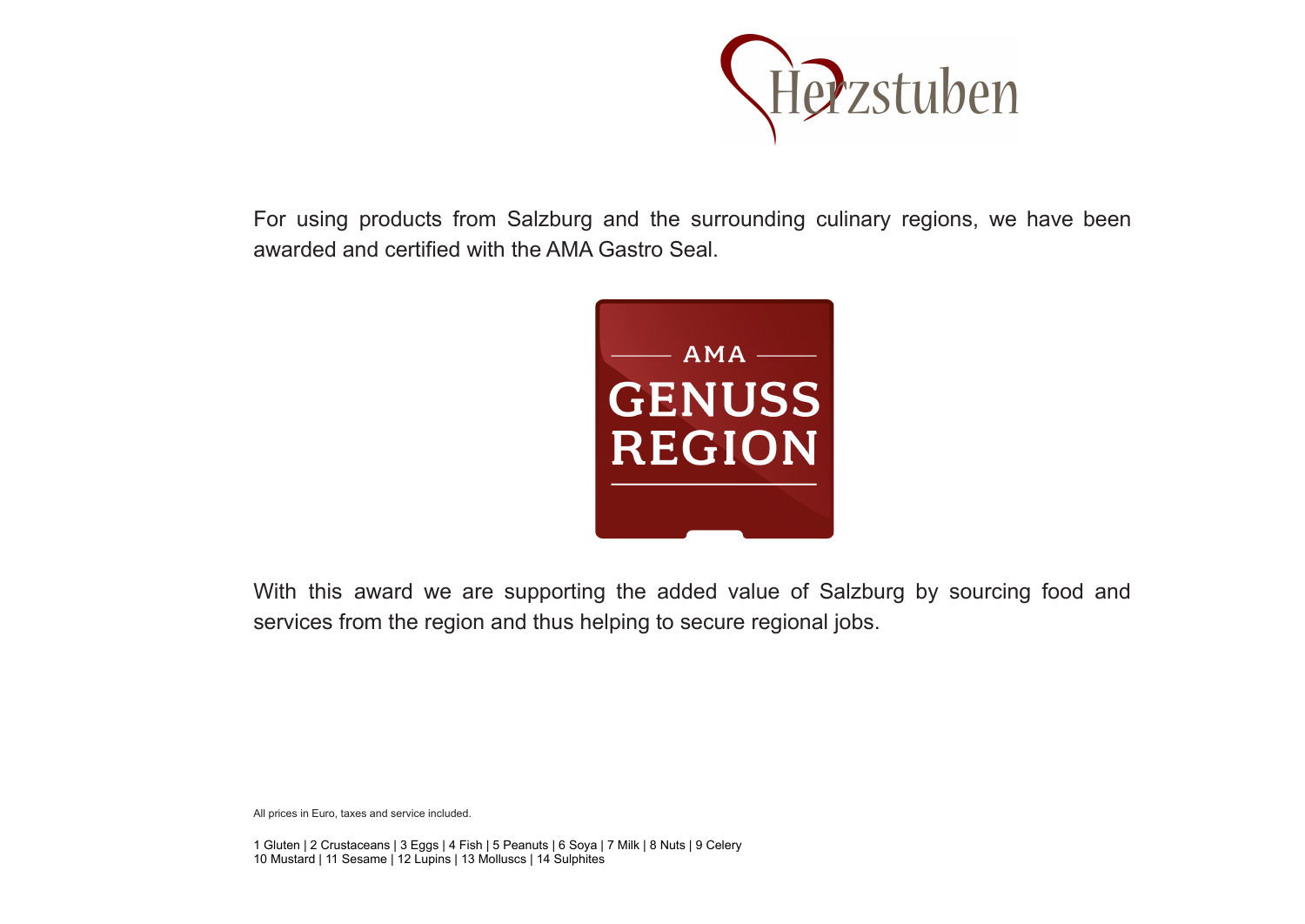

For using products from Salzburg and the surrounding culinary regions, we have been awarded and certified with the AMA Gastro Seal.



With this award we are supporting the added value of Salzburg by sourcing food and services from the region and thus helping to secure regional jobs.

All prices in Euro, taxes and service included.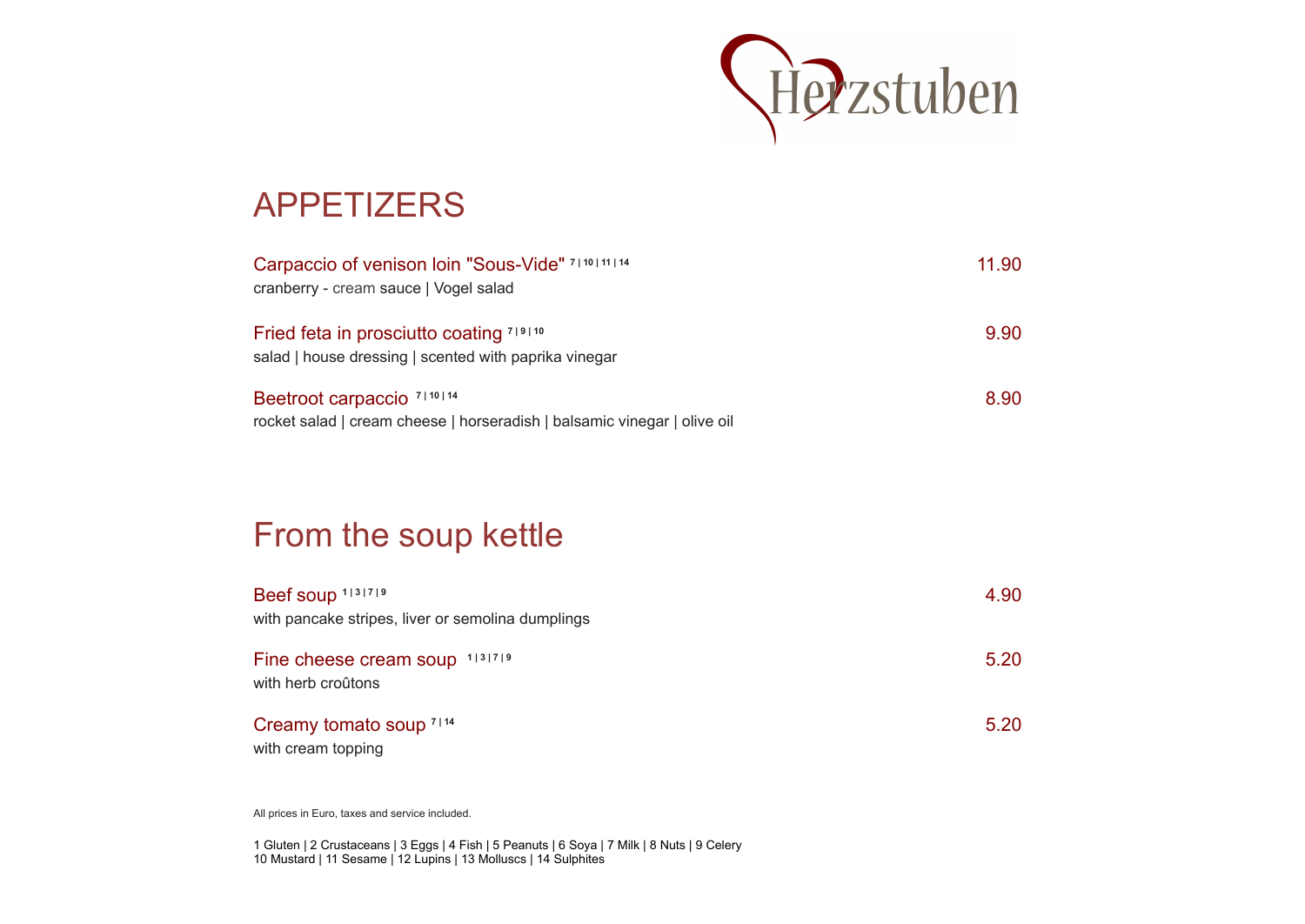

## APPETIZERS

| Carpaccio of venison Ioin "Sous-Vide" 7110111114<br>cranberry - cream sauce   Vogel salad                         | 11.90 |
|-------------------------------------------------------------------------------------------------------------------|-------|
| Fried feta in prosciutto coating 719110<br>salad   house dressing   scented with paprika vinegar                  | 9.90  |
| Beetroot carpaccio <sup>7110114</sup><br>rocket salad   cream cheese   horseradish   balsamic vinegar   olive oil | 8.90  |

#### From the soup kettle

| Beef soup 1131719                                    | 4.90 |
|------------------------------------------------------|------|
| with pancake stripes, liver or semolina dumplings    |      |
| Fine cheese cream soup 1131719<br>with herb croûtons | 5.20 |
| Creamy tomato soup 7114<br>with cream topping        | 5.20 |

All prices in Euro, taxes and service included.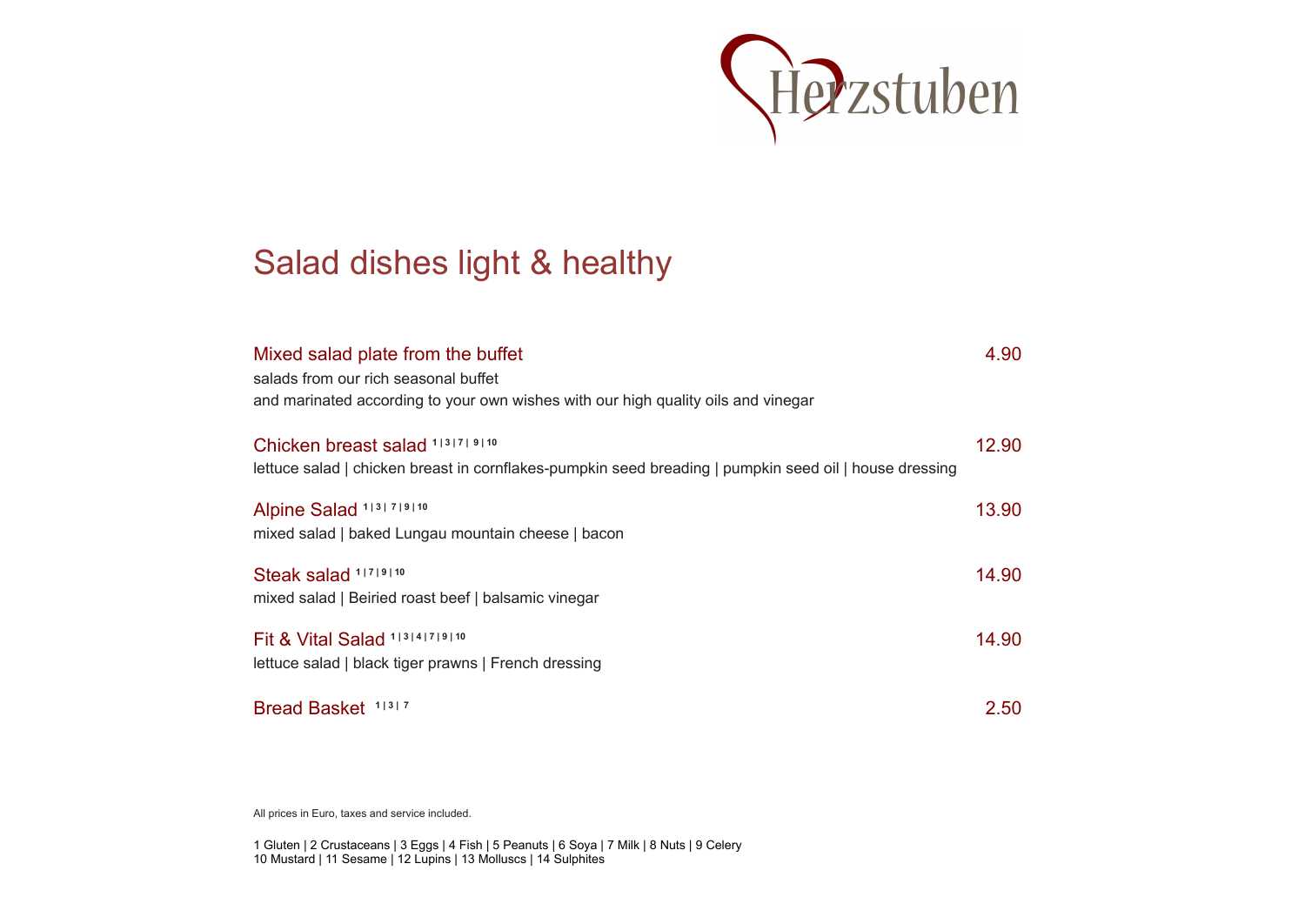

### Salad dishes light & healthy

| Mixed salad plate from the buffet<br>salads from our rich seasonal buffet<br>and marinated according to your own wishes with our high quality oils and vinegar | 4.90  |
|----------------------------------------------------------------------------------------------------------------------------------------------------------------|-------|
| Chicken breast salad 1131719110<br>lettuce salad   chicken breast in cornflakes-pumpkin seed breading   pumpkin seed oil   house dressing                      | 12.90 |
| Alpine Salad 1131 719110<br>mixed salad   baked Lungau mountain cheese   bacon                                                                                 | 13.90 |
| Steak salad 11719110<br>mixed salad   Beiried roast beef   balsamic vinegar                                                                                    | 14.90 |
| Fit & Vital Salad 113141719110<br>lettuce salad   black tiger prawns   French dressing                                                                         | 14.90 |
| Bread Basket 11317                                                                                                                                             | 2.50  |

All prices in Euro, taxes and service included.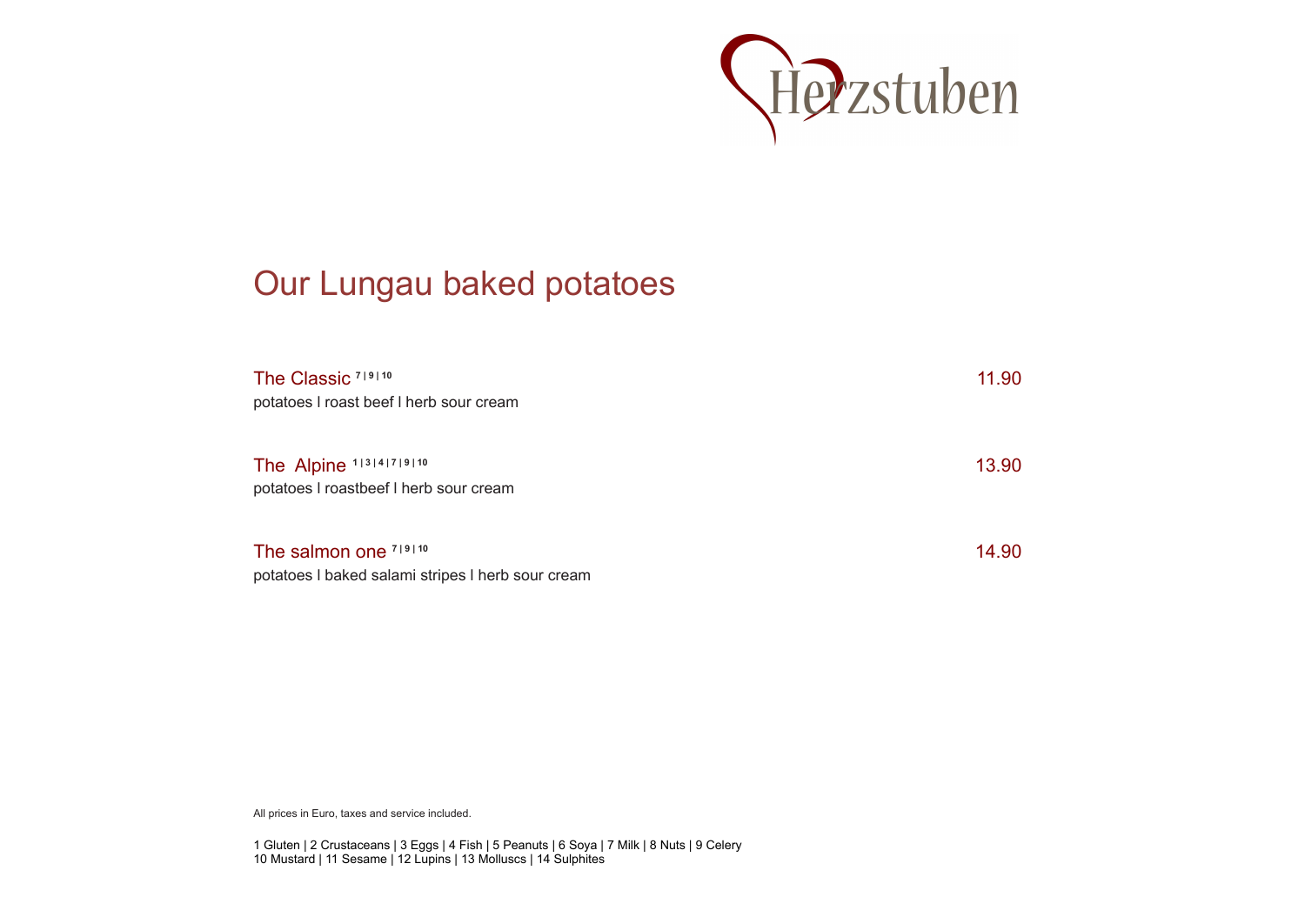

## Our Lungau baked potatoes

| The Classic <sup>719110</sup><br>potatoes I roast beef I herb sour cream   | 11.90 |
|----------------------------------------------------------------------------|-------|
| The Alpine 113141719110<br>potatoes I roastbeef I herb sour cream          | 13.90 |
| The salmon one 719110<br>potatoes I baked salami stripes I herb sour cream | 14.90 |

All prices in Euro, taxes and service included.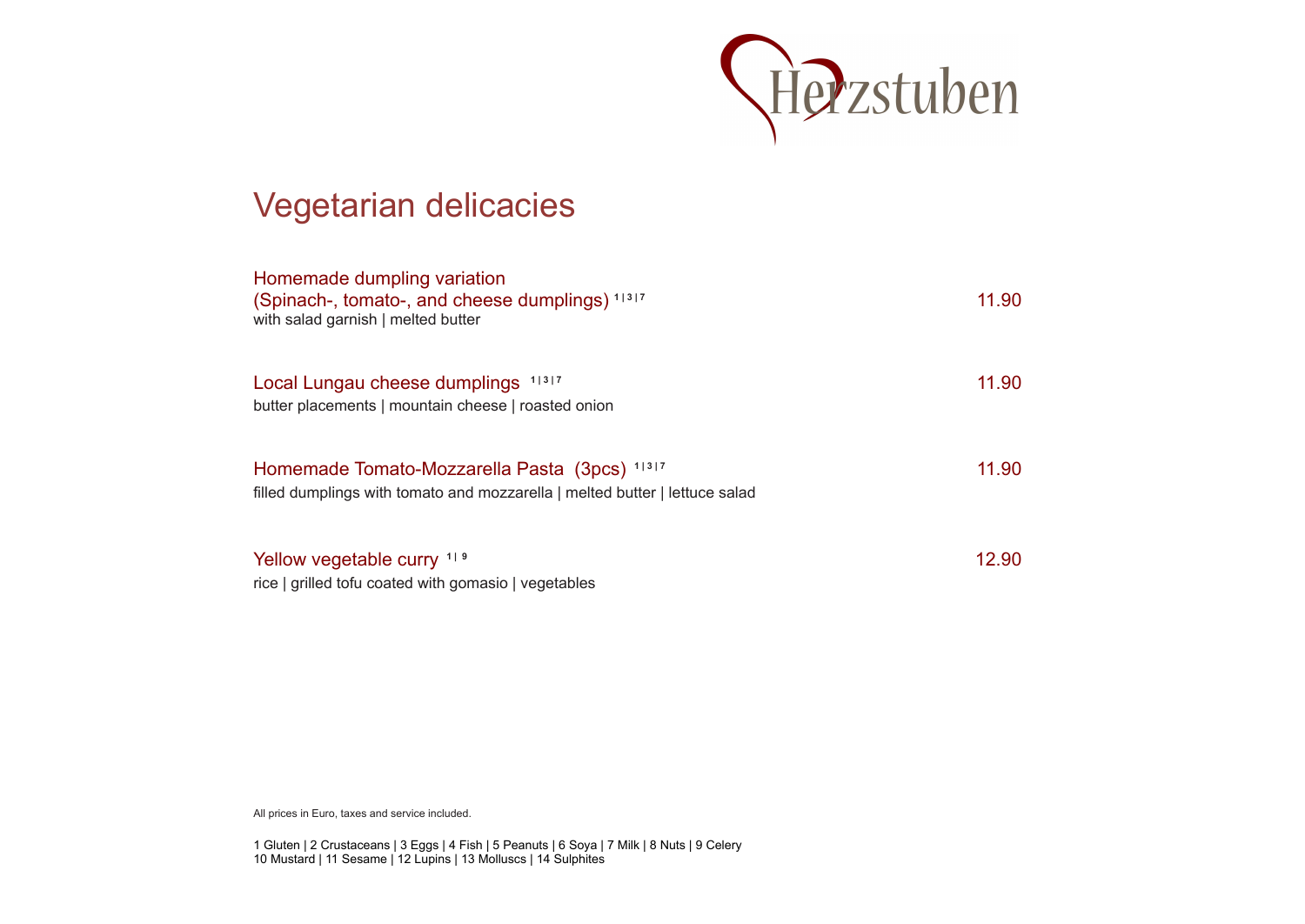

### Vegetarian delicacies

| Homemade dumpling variation<br>(Spinach-, tomato-, and cheese dumplings) 11317<br>with salad garnish   melted butter         | 11.90 |
|------------------------------------------------------------------------------------------------------------------------------|-------|
| $1 \mid 3 \mid 7$<br>Local Lungau cheese dumplings<br>butter placements   mountain cheese   roasted onion                    | 11.90 |
| Homemade Tomato-Mozzarella Pasta (3pcs) 11317<br>filled dumplings with tomato and mozzarella   melted butter   lettuce salad | 11.90 |
| Yellow vegetable curry 119<br>rice   grilled tofu coated with gomasio   vegetables                                           | 12.90 |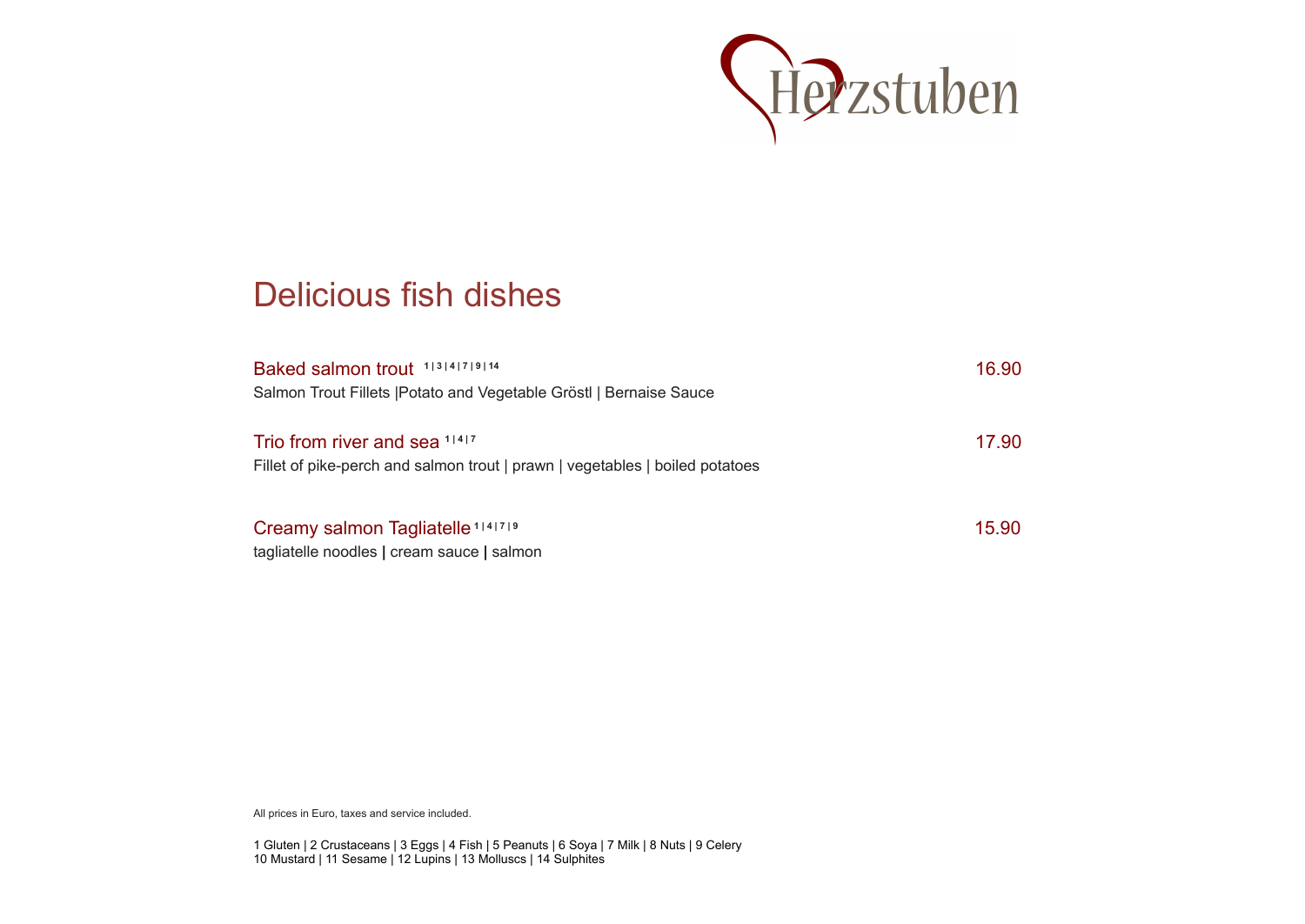

#### Delicious fish dishes

| Baked salmon trout 113141719114<br>Salmon Trout Fillets   Potato and Vegetable Gröst   Bernaise Sauce         | 16.90 |
|---------------------------------------------------------------------------------------------------------------|-------|
| Trio from river and sea 11417<br>Fillet of pike-perch and salmon trout   prawn   vegetables   boiled potatoes | 17.90 |
| Creamy salmon Tagliatelle <sup>1141719</sup><br>tagliatelle noodles   cream sauce   salmon                    | 15.90 |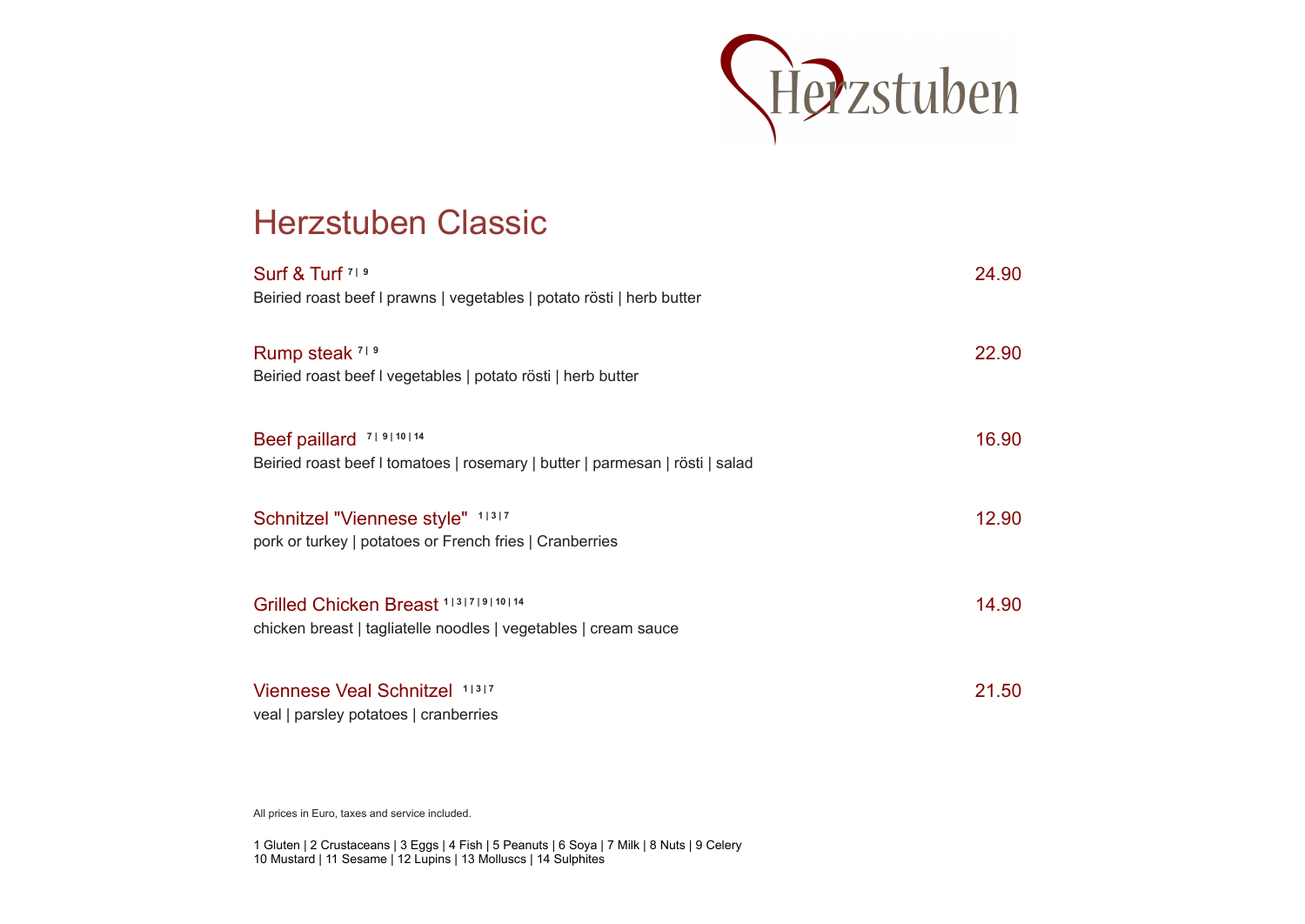

#### Herzstuben Classic

| Surf & Turf 719                                                                             | 24.90 |
|---------------------------------------------------------------------------------------------|-------|
| Beiried roast beef I prawns   vegetables   potato rösti   herb butter                       |       |
|                                                                                             |       |
| Rump steak 719                                                                              | 22.90 |
| Beiried roast beef I vegetables   potato rösti   herb butter                                |       |
|                                                                                             |       |
| Beef paillard 719110114                                                                     | 16.90 |
| Beiried roast beef I tomatoes   rosemary   butter   parmesan   rösti   salad                |       |
|                                                                                             |       |
| Schnitzel "Viennese style" 11317<br>pork or turkey   potatoes or French fries   Cranberries | 12.90 |
|                                                                                             |       |
|                                                                                             |       |
| Grilled Chicken Breast 1 3 7 9 10 14                                                        | 14.90 |
| chicken breast   tagliatelle noodles   vegetables   cream sauce                             |       |
|                                                                                             |       |
| Viennese Veal Schnitzel 11317                                                               | 21.50 |
| veal   parsley potatoes   cranberries                                                       |       |

All prices in Euro, taxes and service included.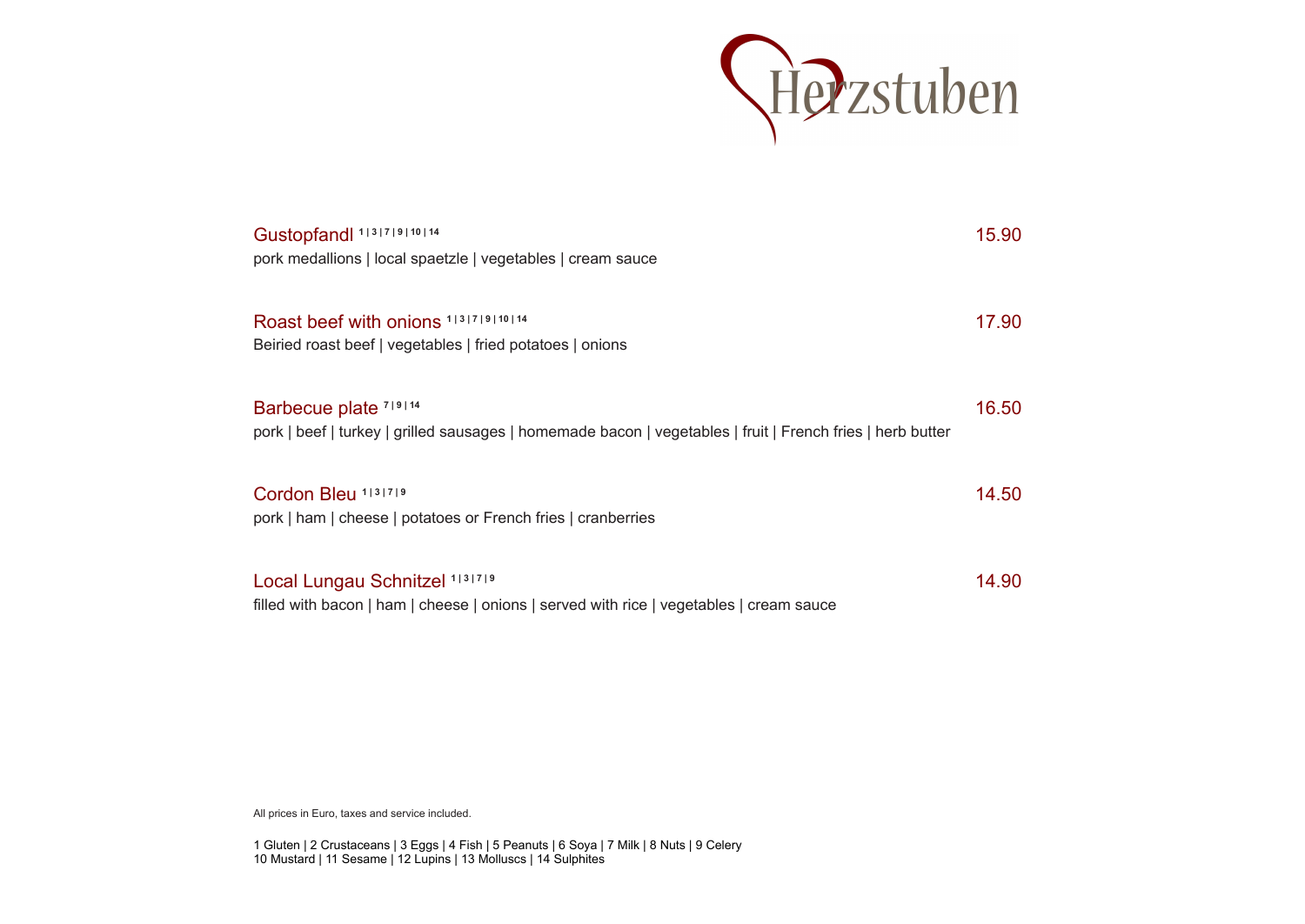

| Gustopfandl 1131719110114<br>pork medallions   local spaetzle   vegetables   cream sauce                                            | 15.90 |
|-------------------------------------------------------------------------------------------------------------------------------------|-------|
| Roast beef with onions 1131719110114<br>Beiried roast beef   vegetables   fried potatoes   onions                                   | 17.90 |
| Barbecue plate 719114<br>pork   beef   turkey   grilled sausages   homemade bacon   vegetables   fruit   French fries   herb butter | 16.50 |
| Cordon Bleu 1131719<br>pork   ham   cheese   potatoes or French fries   cranberries                                                 | 14.50 |
| Local Lungau Schnitzel 1131719<br>filled with bacon   ham   cheese   onions   served with rice   vegetables   cream sauce           | 14.90 |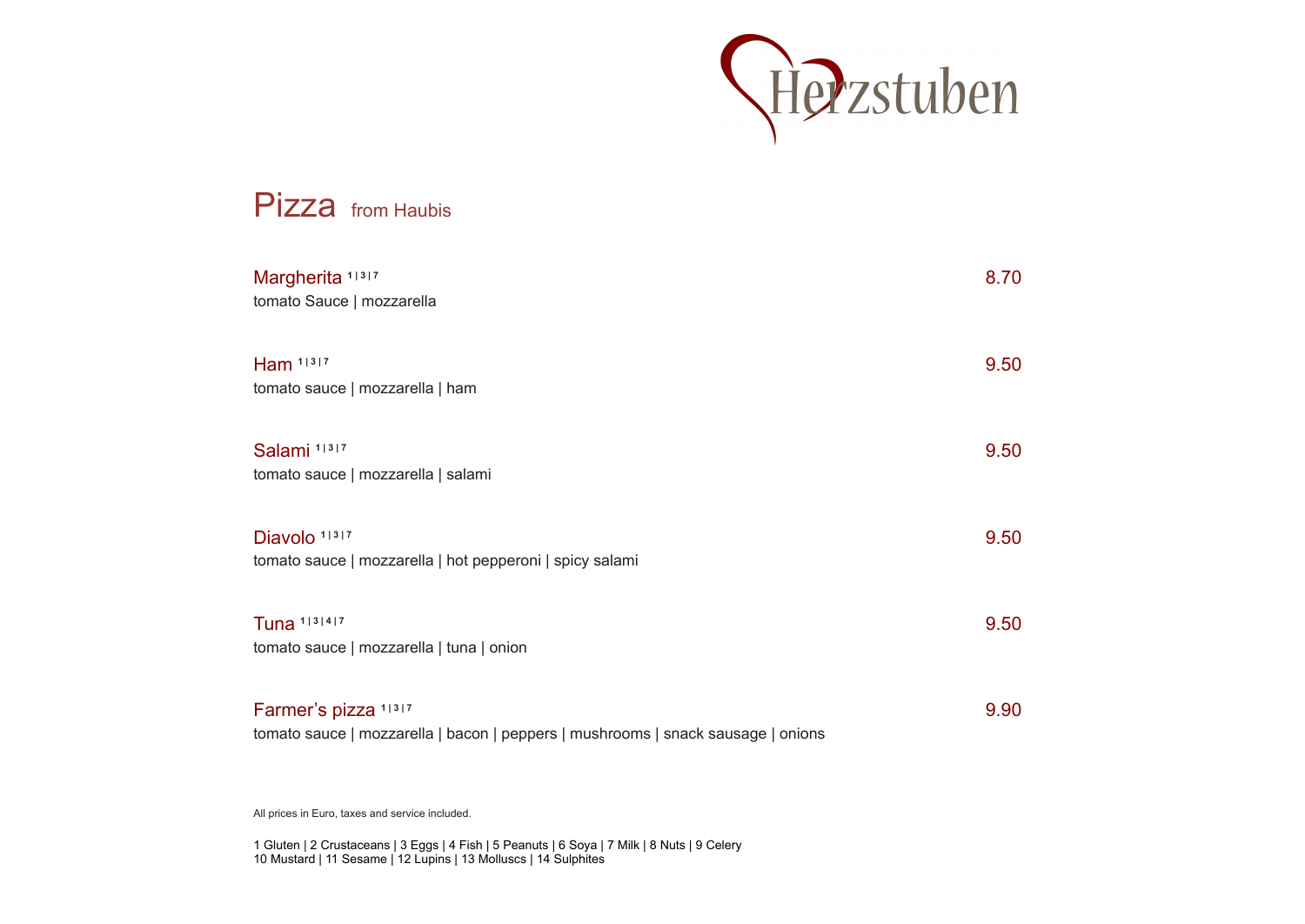

# Pizza from Haubis Margherita <sup>1|3|7</sup> 8.70 tomato Sauce | mozzarella **Ham**  $1 \times 1$ <sup>3</sup> 9.50 tomato sauce | mozzarella | ham Salami <sup>1|3|7</sup> 9.50 tomato sauce | mozzarella | salami Diavolo <sup>1|3|7</sup> 9.50 tomato sauce | mozzarella | hot pepperoni | spicy salami **Tuna**  $1^{13}$   $1^{4}$   $7^{9}$  9.50 tomato sauce | mozzarella | tuna | onion Farmer's pizza <sup>1|3|7</sup> 9.90 tomato sauce | mozzarella | bacon | peppers | mushrooms | snack sausage | onions

All prices in Euro, taxes and service included.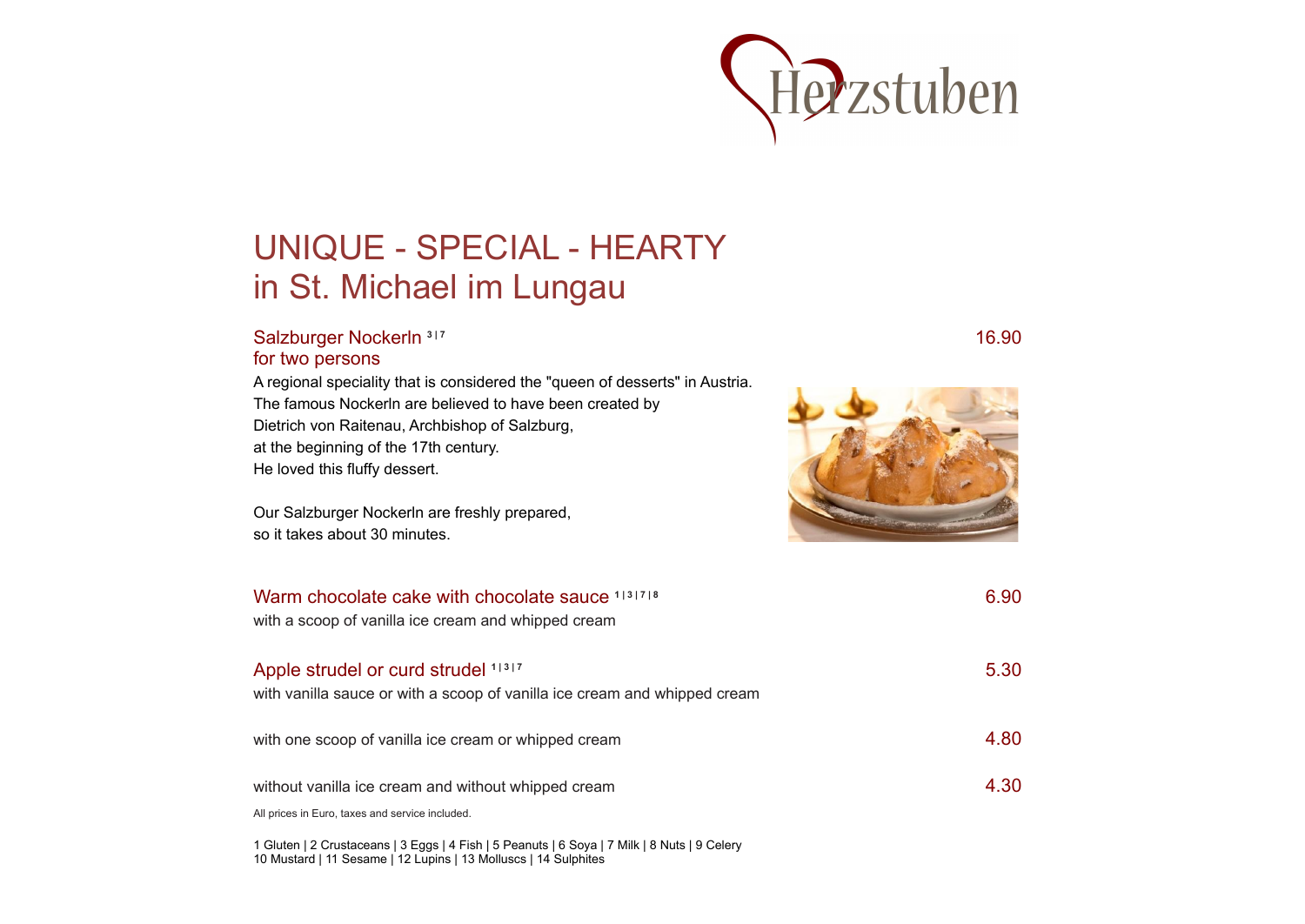

# UNIQUE - SPECIAL - HEARTY in St. Michael im Lungau

#### Salzburger Nockerln <sup>3|7</sup> 16.90 for two persons

A regional speciality that is considered the "queen of desserts" in Austria. The famous Nockerln are believed to have been created by Dietrich von Raitenau, Archbishop of Salzburg, at the beginning of the 17th century. He loved this fluffy dessert.

Our Salzburger Nockerln are freshly prepared, so it takes about 30 minutes.



| Warm chocolate cake with chocolate sauce 1131718<br>with a scoop of vanilla ice cream and whipped cream          | 6.90 |
|------------------------------------------------------------------------------------------------------------------|------|
| Apple strudel or curd strudel 11317<br>with vanilla sauce or with a scoop of vanilla ice cream and whipped cream | 5.30 |
| with one scoop of vanilla ice cream or whipped cream                                                             | 4.80 |
| without vanilla ice cream and without whipped cream<br>All prices in Euro, taxes and service included.           | 4.30 |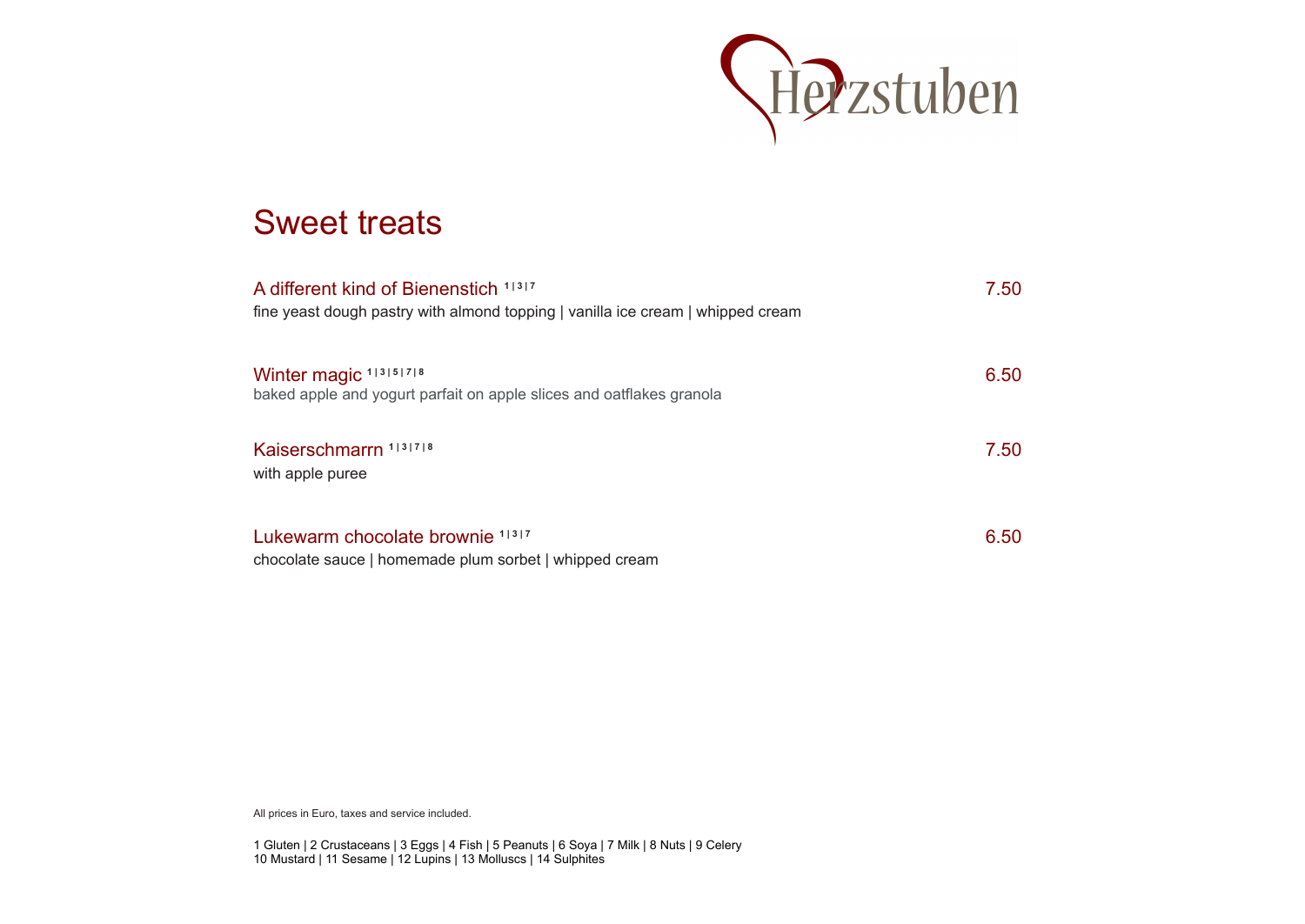

#### Sweet treats

| A different kind of Bienenstich 11317<br>fine yeast dough pastry with almond topping   vanilla ice cream   whipped cream | 7.50 |
|--------------------------------------------------------------------------------------------------------------------------|------|
| Winter magic 113151718<br>baked apple and yogurt parfait on apple slices and oatflakes granola                           | 6.50 |
| Kaiserschmarrn 1131718<br>with apple puree                                                                               | 7.50 |
| Lukewarm chocolate brownie 11317<br>chocolate sauce   homemade plum sorbet   whipped cream                               | 6.50 |